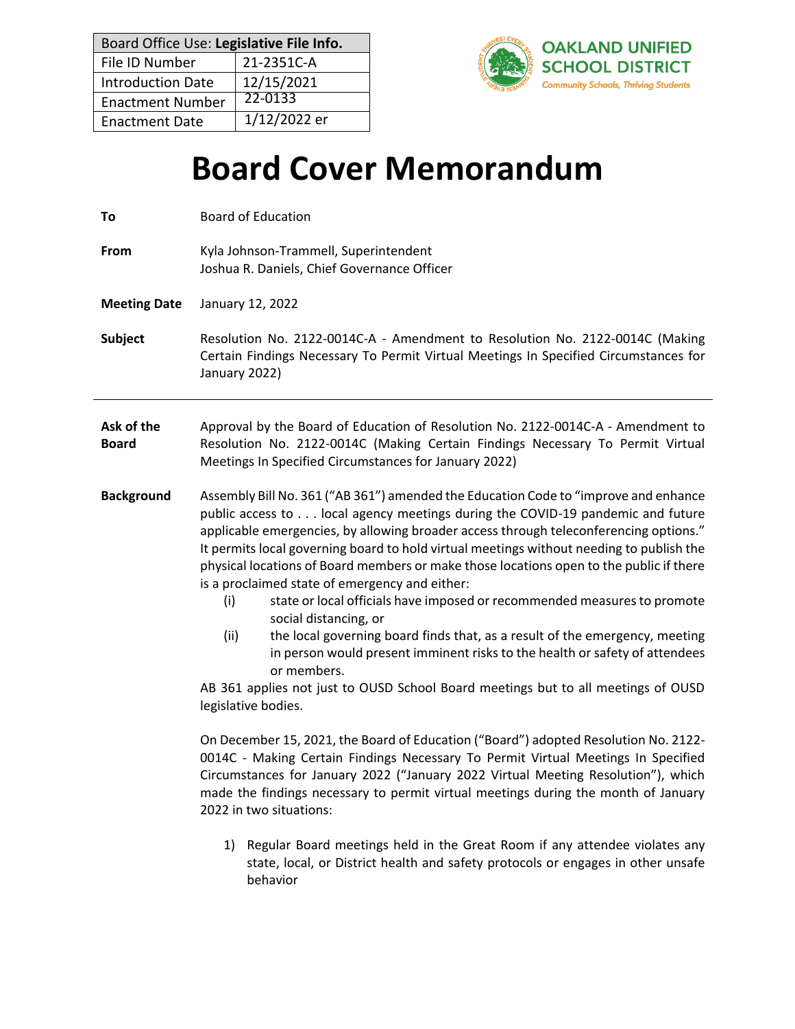| Board Office Use: Legislative File Info. |              |  |
|------------------------------------------|--------------|--|
| File ID Number                           | 21-2351C-A   |  |
| <b>Introduction Date</b>                 | 12/15/2021   |  |
| <b>Enactment Number</b>                  | 22-0133      |  |
| <b>Enactment Date</b>                    | 1/12/2022 er |  |

To **Board of Education** 



# **Board Cover Memorandum**

| <b>From</b>                | Kyla Johnson-Trammell, Superintendent<br>Joshua R. Daniels, Chief Governance Officer                                                                                                                                                                                                                                                                                                                                                                                                                                                                                                                                                                                                                                                                                                                                                                                                                                                                                                                                                                                                                                                                                                                                                                                                                   |
|----------------------------|--------------------------------------------------------------------------------------------------------------------------------------------------------------------------------------------------------------------------------------------------------------------------------------------------------------------------------------------------------------------------------------------------------------------------------------------------------------------------------------------------------------------------------------------------------------------------------------------------------------------------------------------------------------------------------------------------------------------------------------------------------------------------------------------------------------------------------------------------------------------------------------------------------------------------------------------------------------------------------------------------------------------------------------------------------------------------------------------------------------------------------------------------------------------------------------------------------------------------------------------------------------------------------------------------------|
| <b>Meeting Date</b>        | January 12, 2022                                                                                                                                                                                                                                                                                                                                                                                                                                                                                                                                                                                                                                                                                                                                                                                                                                                                                                                                                                                                                                                                                                                                                                                                                                                                                       |
| <b>Subject</b>             | Resolution No. 2122-0014C-A - Amendment to Resolution No. 2122-0014C (Making<br>Certain Findings Necessary To Permit Virtual Meetings In Specified Circumstances for<br>January 2022)                                                                                                                                                                                                                                                                                                                                                                                                                                                                                                                                                                                                                                                                                                                                                                                                                                                                                                                                                                                                                                                                                                                  |
| Ask of the<br><b>Board</b> | Approval by the Board of Education of Resolution No. 2122-0014C-A - Amendment to<br>Resolution No. 2122-0014C (Making Certain Findings Necessary To Permit Virtual<br>Meetings In Specified Circumstances for January 2022)                                                                                                                                                                                                                                                                                                                                                                                                                                                                                                                                                                                                                                                                                                                                                                                                                                                                                                                                                                                                                                                                            |
| <b>Background</b>          | Assembly Bill No. 361 ("AB 361") amended the Education Code to "improve and enhance<br>public access to local agency meetings during the COVID-19 pandemic and future<br>applicable emergencies, by allowing broader access through teleconferencing options."<br>It permits local governing board to hold virtual meetings without needing to publish the<br>physical locations of Board members or make those locations open to the public if there<br>is a proclaimed state of emergency and either:<br>state or local officials have imposed or recommended measures to promote<br>(i)<br>social distancing, or<br>(ii)<br>the local governing board finds that, as a result of the emergency, meeting<br>in person would present imminent risks to the health or safety of attendees<br>or members.<br>AB 361 applies not just to OUSD School Board meetings but to all meetings of OUSD<br>legislative bodies.<br>On December 15, 2021, the Board of Education ("Board") adopted Resolution No. 2122-<br>0014C - Making Certain Findings Necessary To Permit Virtual Meetings In Specified<br>Circumstances for January 2022 ("January 2022 Virtual Meeting Resolution"), which<br>made the findings necessary to permit virtual meetings during the month of January<br>2022 in two situations: |
|                            | Regular Board meetings held in the Great Room if any attendee violates any<br>1)<br>$\mathbf{r}$ . The set of the set of the set of the set of the set of the set of the set of the set of the set of the set of the set of the set of the set of the set of the set of the set of the set of the set of the set of t                                                                                                                                                                                                                                                                                                                                                                                                                                                                                                                                                                                                                                                                                                                                                                                                                                                                                                                                                                                  |

state, local, or District health and safety protocols or engages in other unsafe behavior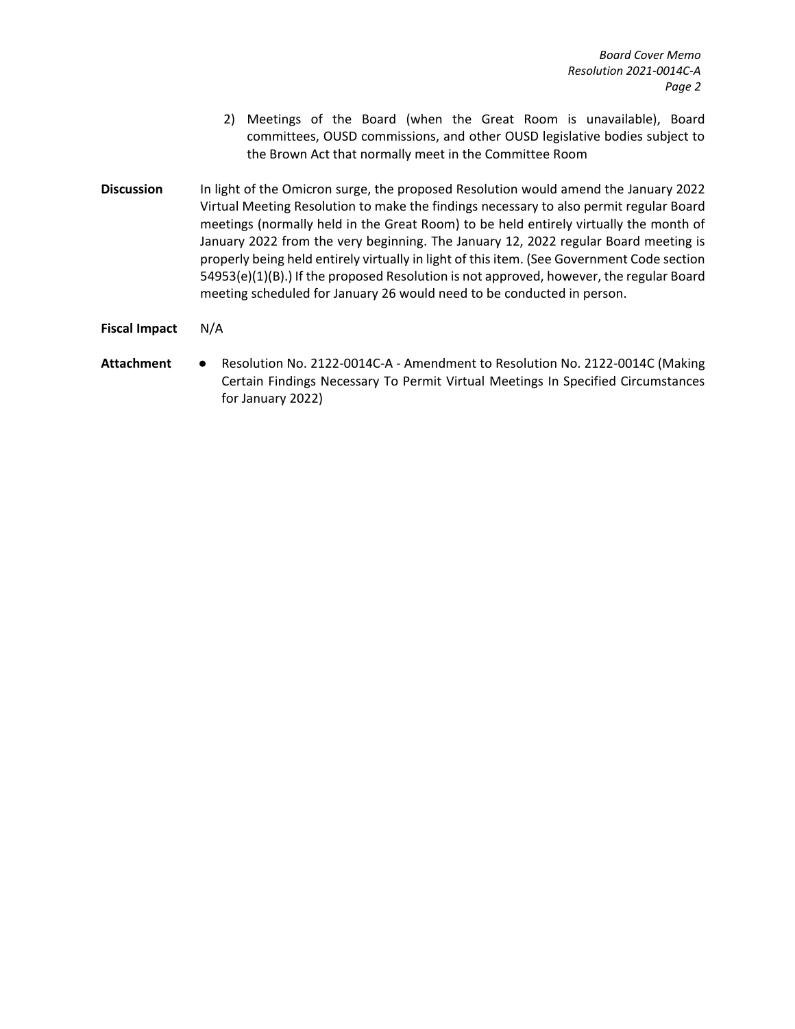- 2) Meetings of the Board (when the Great Room is unavailable), Board committees, OUSD commissions, and other OUSD legislative bodies subject to the Brown Act that normally meet in the Committee Room
- **Discussion** In light of the Omicron surge, the proposed Resolution would amend the January 2022 Virtual Meeting Resolution to make the findings necessary to also permit regular Board meetings (normally held in the Great Room) to be held entirely virtually the month of January 2022 from the very beginning. The January 12, 2022 regular Board meeting is properly being held entirely virtually in light of this item. (See Government Code section 54953(e)(1)(B).) If the proposed Resolution is not approved, however, the regular Board meeting scheduled for January 26 would need to be conducted in person.
- **Fiscal Impact** N/A
- **Attachment** Resolution No. 2122-0014C-A Amendment to Resolution No. 2122-0014C (Making Certain Findings Necessary To Permit Virtual Meetings In Specified Circumstances for January 2022)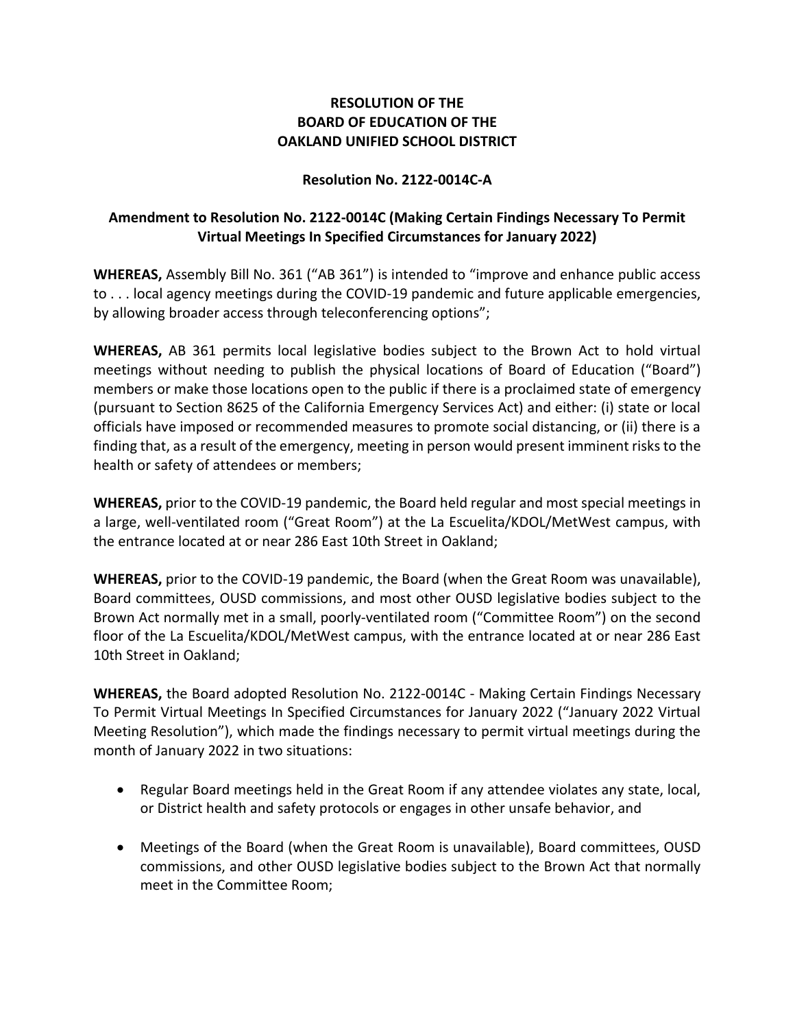### **RESOLUTION OF THE BOARD OF EDUCATION OF THE OAKLAND UNIFIED SCHOOL DISTRICT**

#### **Resolution No. 2122-0014C-A**

# **Amendment to Resolution No. 2122-0014C (Making Certain Findings Necessary To Permit Virtual Meetings In Specified Circumstances for January 2022)**

**WHEREAS,** Assembly Bill No. 361 ("AB 361") is intended to "improve and enhance public access to . . . local agency meetings during the COVID-19 pandemic and future applicable emergencies, by allowing broader access through teleconferencing options";

**WHEREAS,** AB 361 permits local legislative bodies subject to the Brown Act to hold virtual meetings without needing to publish the physical locations of Board of Education ("Board") members or make those locations open to the public if there is a proclaimed state of emergency (pursuant to Section 8625 of the California Emergency Services Act) and either: (i) state or local officials have imposed or recommended measures to promote social distancing, or (ii) there is a finding that, as a result of the emergency, meeting in person would present imminent risks to the health or safety of attendees or members;

**WHEREAS,** prior to the COVID-19 pandemic, the Board held regular and most special meetings in a large, well-ventilated room ("Great Room") at the La Escuelita/KDOL/MetWest campus, with the entrance located at or near 286 East 10th Street in Oakland;

**WHEREAS,** prior to the COVID-19 pandemic, the Board (when the Great Room was unavailable), Board committees, OUSD commissions, and most other OUSD legislative bodies subject to the Brown Act normally met in a small, poorly-ventilated room ("Committee Room") on the second floor of the La Escuelita/KDOL/MetWest campus, with the entrance located at or near 286 East 10th Street in Oakland;

**WHEREAS,** the Board adopted Resolution No. 2122-0014C - Making Certain Findings Necessary To Permit Virtual Meetings In Specified Circumstances for January 2022 ("January 2022 Virtual Meeting Resolution"), which made the findings necessary to permit virtual meetings during the month of January 2022 in two situations:

- Regular Board meetings held in the Great Room if any attendee violates any state, local, or District health and safety protocols or engages in other unsafe behavior, and
- Meetings of the Board (when the Great Room is unavailable), Board committees, OUSD commissions, and other OUSD legislative bodies subject to the Brown Act that normally meet in the Committee Room;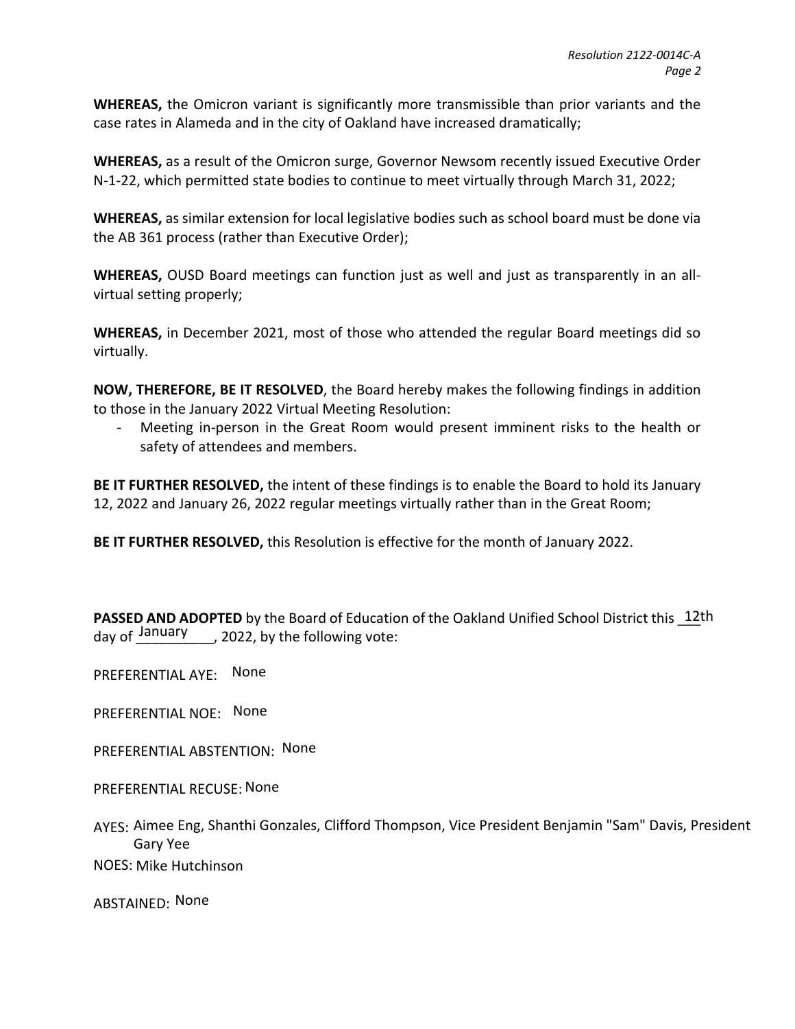**WHEREAS,** the Omicron variant is significantly more transmissible than prior variants and the case rates in Alameda and in the city of Oakland have increased dramatically;

**WHEREAS,** as a result of the Omicron surge, Governor Newsom recently issued Executive Order N-1-22, which permitted state bodies to continue to meet virtually through March 31, 2022;

**WHEREAS,** as similar extension for local legislative bodies such as school board must be done via the AB 361 process (rather than Executive Order);

**WHEREAS,** OUSD Board meetings can function just as well and just as transparently in an allvirtual setting properly;

**WHEREAS,** in December 2021, most of those who attended the regular Board meetings did so virtually.

**NOW, THEREFORE, BE IT RESOLVED**, the Board hereby makes the following findings in addition to those in the January 2022 Virtual Meeting Resolution:

Meeting in-person in the Great Room would present imminent risks to the health or safety of attendees and members.

**BE IT FURTHER RESOLVED,** the intent of these findings is to enable the Board to hold its January 12, 2022 and January 26, 2022 regular meetings virtually rather than in the Great Room;

**BE IT FURTHER RESOLVED,** this Resolution is effective for the month of January 2022.

PASSED AND ADOPTED by the Board of Education of the Oakland Unified School District this 12th , 2022, by the following vote: day of January

PREFERENTIAL AYE: None

PREFERENTIAL NOE: None

PREFERENTIAL ABSTENTION: None

PREFERENTIAL RECUSE: None

AYES: Aimee Eng, Shanthi Gonzales, Clifford Thompson, Vice President Benjamin "Sam" Davis, President Gary Yee

NOES: Mike Hutchinson

ABSTAINED: None